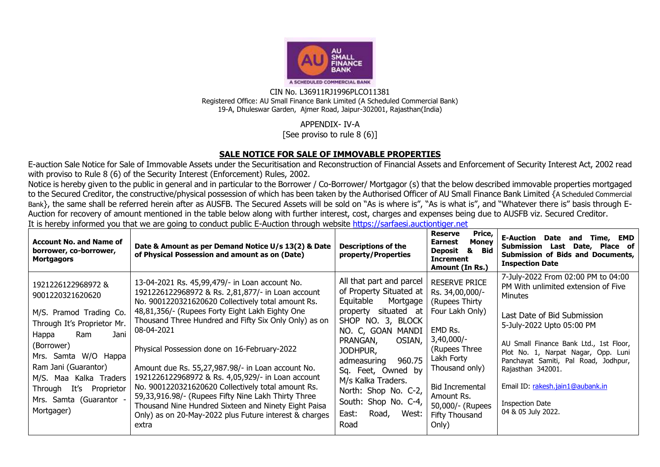

CIN No. L36911RJ1996PLCO11381 Registered Office: AU Small Finance Bank Limited (A Scheduled Commercial Bank) 19-A, Dhuleswar Garden, Ajmer Road, Jaipur-302001, Rajasthan(India)

## APPENDIX- IV-A

[See proviso to rule 8 (6)]

## **SALE NOTICE FOR SALE OF IMMOVABLE PROPERTIES**

E-auction Sale Notice for Sale of Immovable Assets under the Securitisation and Reconstruction of Financial Assets and Enforcement of Security Interest Act, 2002 read with proviso to Rule 8 (6) of the Security Interest (Enforcement) Rules, 2002.

Notice is hereby given to the public in general and in particular to the Borrower / Co-Borrower/ Mortgagor (s) that the below described immovable properties mortgaged to the Secured Creditor, the constructive/physical possession of which has been taken by the Authorised Officer of AU Small Finance Bank Limited {A Scheduled Commercial Bank}, the same shall be referred herein after as AUSFB. The Secured Assets will be sold on "As is where is", "As is what is", and "Whatever there is" basis through E-Auction for recovery of amount mentioned in the table below along with further interest, cost, charges and expenses being due to AUSFB viz. Secured Creditor.

It is hereby informed you that we are going to conduct public E-Auction through website [https://sarfaesi.auctiontiger.net](https://sarfaesi.auctiontiger.net/) 

| <b>Account No. and Name of</b><br>borrower, co-borrower,<br><b>Mortgagors</b>                                                                                                                                                                  | Date & Amount as per Demand Notice U/s 13(2) & Date<br>of Physical Possession and amount as on (Date)                                                                                                                                                                                                                                                                                                                                                 | <b>Descriptions of the</b><br>property/Properties                                                                                                                                                                        | <b>Reserve</b><br>Price,<br><b>Money</b><br><b>Earnest</b><br><b>Deposit</b><br>&<br>Bid<br><b>Increment</b><br>Amount (In Rs.)                   | <b>E-Auction Date</b><br>EMD<br>Time,<br>and<br>Submission<br>Date,<br>Place of<br>Last<br>Submission of Bids and Documents,<br><b>Inspection Date</b>                                                                                                               |
|------------------------------------------------------------------------------------------------------------------------------------------------------------------------------------------------------------------------------------------------|-------------------------------------------------------------------------------------------------------------------------------------------------------------------------------------------------------------------------------------------------------------------------------------------------------------------------------------------------------------------------------------------------------------------------------------------------------|--------------------------------------------------------------------------------------------------------------------------------------------------------------------------------------------------------------------------|---------------------------------------------------------------------------------------------------------------------------------------------------|----------------------------------------------------------------------------------------------------------------------------------------------------------------------------------------------------------------------------------------------------------------------|
| 1921226122968972 &<br>9001220321620620                                                                                                                                                                                                         | 13-04-2021 Rs. 45,99,479/- in Loan account No.<br>1921226122968972 & Rs. 2,81,877/- in Loan account<br>No. 9001220321620620 Collectively total amount Rs.                                                                                                                                                                                                                                                                                             | All that part and parcel<br>of Property Situated at<br>Equitable<br>Mortgage                                                                                                                                             | <b>RESERVE PRICE</b><br>Rs. 34,00,000/-<br>(Rupees Thirty                                                                                         | 7-July-2022 From 02:00 PM to 04:00<br>PM With unlimited extension of Five<br>Minutes                                                                                                                                                                                 |
| M/S. Pramod Trading Co.<br>Through It's Proprietor Mr.<br>Jani<br>Ram<br>Happa<br>(Borrower)<br>W/O Happa<br>Samta<br>Mrs.<br>Ram Jani (Guarantor)<br>Maa Kalka Traders<br>M/S.<br>It's<br>Proprietor<br>Through<br>Samta (Guarantor -<br>Mrs. | 48,81,356/- (Rupees Forty Eight Lakh Eighty One<br>Thousand Three Hundred and Fifty Six Only Only) as on<br>08-04-2021<br>Physical Possession done on 16-February-2022<br>Amount due Rs. 55,27,987.98/- in Loan account No.<br>1921226122968972 & Rs. 4,05,929/- in Loan account<br>No. 9001220321620620 Collectively total amount Rs.<br>59,33,916.98/- (Rupees Fifty Nine Lakh Thirty Three<br>Thousand Nine Hundred Sixteen and Ninety Eight Paisa | situated at<br>property<br>SHOP NO. 3, BLOCK<br>NO. C, GOAN MANDI<br>PRANGAN,<br>OSIAN,<br>JODHPUR,<br>960.75<br>admeasuring<br>Sq. Feet, Owned by<br>M/s Kalka Traders.<br>North: Shop No. C-2,<br>South: Shop No. C-4, | Four Lakh Only)<br>EMD Rs.<br>$3,40,000/-$<br>(Rupees Three)<br>Lakh Forty<br>Thousand only)<br>Bid Incremental<br>Amount Rs.<br>50,000/- (Rupees | Last Date of Bid Submission<br>5-July-2022 Upto 05:00 PM<br>AU Small Finance Bank Ltd., 1st Floor,<br>Plot No. 1, Narpat Nagar, Opp. Luni<br>Panchayat Samiti, Pal Road, Jodhpur,<br>Rajasthan 342001.<br>Email ID: rakesh.jain1@aubank.in<br><b>Inspection Date</b> |
| Mortgager)                                                                                                                                                                                                                                     | Only) as on 20-May-2022 plus Future interest & charges<br>extra                                                                                                                                                                                                                                                                                                                                                                                       | Road,<br>East:<br>West:<br>Road                                                                                                                                                                                          | Fifty Thousand<br>Only)                                                                                                                           | 04 & 05 July 2022.                                                                                                                                                                                                                                                   |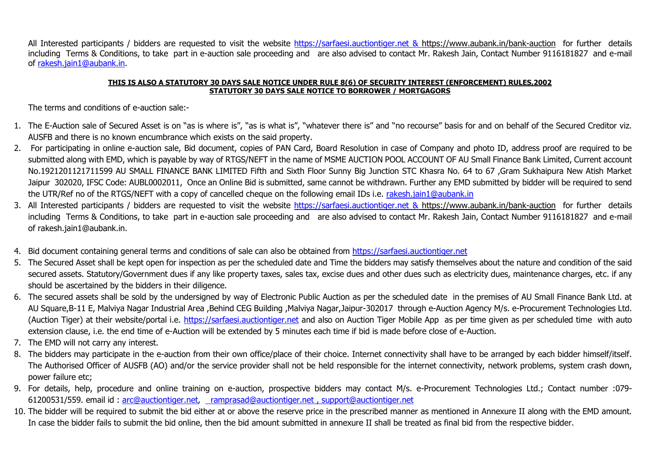All Interested participants / bidders are requested to visit the website [https://sarfaesi.auctiontiger.net](https://sarfaesi.auctiontiger.net/) & https://www.aubank.in/bank-auction for further details including Terms & Conditions, to take part in e-auction sale proceeding and are also advised to contact Mr. Rakesh Jain, Contact Number 9116181827 and e-mail of [rakesh.jain1@aubank.in.](mailto:rakesh.jain1@aubank.in)

## **THIS IS ALSO A STATUTORY 30 DAYS SALE NOTICE UNDER RULE 8(6) OF SECURITY INTEREST (ENFORCEMENT) RULES,2002 STATUTORY 30 DAYS SALE NOTICE TO BORROWER / MORTGAGORS**

The terms and conditions of e-auction sale:-

- 1. The E-Auction sale of Secured Asset is on "as is where is", "as is what is", "whatever there is" and "no recourse" basis for and on behalf of the Secured Creditor viz. AUSFB and there is no known encumbrance which exists on the said property.
- 2. For participating in online e-auction sale, Bid document, copies of PAN Card, Board Resolution in case of Company and photo ID, address proof are required to be submitted along with EMD, which is payable by way of RTGS/NEFT in the name of MSME AUCTION POOL ACCOUNT OF AU Small Finance Bank Limited, Current account No.1921201121711599 AU SMALL FINANCE BANK LIMITED Fifth and Sixth Floor Sunny Big Junction STC Khasra No. 64 to 67 ,Gram Sukhaipura New Atish Market Jaipur 302020, IFSC Code: AUBL0002011, Once an Online Bid is submitted, same cannot be withdrawn. Further any EMD submitted by bidder will be required to send the UTR/Ref no of the RTGS/NEFT with a copy of cancelled cheque on the following email IDs i.e. [rakesh.jain1@aubank.in](mailto:rakesh.jain1@aubank.in)
- 3. All Interested participants / bidders are requested to visit the website [https://sarfaesi.auctiontiger.net](https://sarfaesi.auctiontiger.net/) & https://www.aubank.in/bank-auction for further details including Terms & Conditions, to take part in e-auction sale proceeding and are also advised to contact Mr. Rakesh Jain, Contact Number 9116181827 and e-mail of rakesh.jain1@aubank.in.
- 4. Bid document containing general terms and conditions of sale can also be obtained from [https://sarfaesi.auctiontiger.net](https://edelweissarc.auctiontiger.net/)
- 5. The Secured Asset shall be kept open for inspection as per the scheduled date and Time the bidders may satisfy themselves about the nature and condition of the said secured assets. Statutory/Government dues if any like property taxes, sales tax, excise dues and other dues such as electricity dues, maintenance charges, etc. if any should be ascertained by the bidders in their diligence.
- 6. The secured assets shall be sold by the undersigned by way of Electronic Public Auction as per the scheduled date in the premises of AU Small Finance Bank Ltd. at AU Square,B-11 E, Malviya Nagar Industrial Area ,Behind CEG Building ,Malviya Nagar,Jaipur-302017 through e-Auction Agency M/s. e-Procurement Technologies Ltd. (Auction Tiger) at their website/portal i.e. [https://sarfaesi.auctiontiger.net](https://sarfaesi.auctiontiger.net/) and also on Auction Tiger Mobile App as per time given as per scheduled time with auto extension clause, i.e. the end time of e-Auction will be extended by 5 minutes each time if bid is made before close of e-Auction.
- 7. The EMD will not carry any interest.
- 8. The bidders may participate in the e-auction from their own office/place of their choice. Internet connectivity shall have to be arranged by each bidder himself/itself. The Authorised Officer of AUSFB (AO) and/or the service provider shall not be held responsible for the internet connectivity, network problems, system crash down, power failure etc;
- 9. For details, help, procedure and online training on e-auction, prospective bidders may contact M/s. e-Procurement Technologies Ltd.; Contact number :079- 61200531/559. email id : [arc@auctiontiger.net,](mailto:arc@auctiontiger.net) [ramprasad@auctiontiger.net](mailto:ramprasad@auctiontiger.net) , [support@auctiontiger.net](mailto:support@auctiontiger.net)
- 10. The bidder will be required to submit the bid either at or above the reserve price in the prescribed manner as mentioned in Annexure II along with the EMD amount. In case the bidder fails to submit the bid online, then the bid amount submitted in annexure II shall be treated as final bid from the respective bidder.